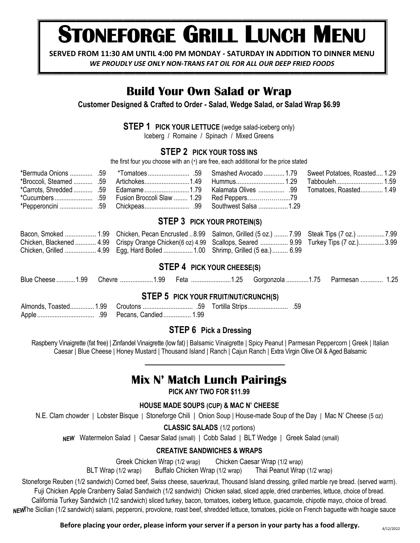# **STONEFORGE GRILL LUNCH MENU**

**SERVED FROM 11:30 AM UNTIL 4:00 PM MONDAY - SATURDAY IN ADDITION TO DINNER MENU**

*WE PROUDLY USE ONLY NON-TRANS FAT OIL FOR ALL OUR DEEP FRIED FOODS*

# **Build Your Own Salad or Wrap**

**Customer Designed & Crafted to Order - Salad, Wedge Salad, or Salad Wrap \$6.99**

**STEP 1 PICK YOUR LETTUCE** (wedge salad-iceberg only)

Iceberg / Romaine / Spinach / Mixed Greens

#### **STEP 2 PICK YOUR TOSS INS**

the first four you choose with an (\*) are free, each additional for the price stated

|  | *Bermuda Onions  59 *Tomatoes  59 Smashed Avocado  1.79 Sweet Potatoes, Roasted  1.29 |  |
|--|---------------------------------------------------------------------------------------|--|
|  |                                                                                       |  |
|  |                                                                                       |  |
|  |                                                                                       |  |
|  |                                                                                       |  |

### **STEP 3 PICK YOUR PROTEIN(S)**

| Bacon, Smoked  1.99 Chicken, Pecan Encrusted  8.99 Salmon, Grilled (5 oz.)  7.99 Steak Tips (7 oz.)  7.99 |  |
|-----------------------------------------------------------------------------------------------------------|--|
| Chicken, Blackened  4.99 Crispy Orange Chicken(6 oz) 4.99 Scallops, Seared  9.99 Turkey Tips (7 oz.)3.99  |  |
| Chicken, Grilled  4.99 Egg, Hard Boiled  1.00 Shrimp, Grilled (5 ea.)  6.99                               |  |

#### **STEP 4 PICK YOUR CHEESE(S)**

Blue Cheese ..........1.99 Chevre ..................1.99 Feta .......................1.25 Gorgonzola .............1.75 Parmesan ............. 1.25

#### **STEP 5 PICK YOUR FRUIT/NUT/CRUNCH(S)**

#### **STEP 6 Pick a Dressing**

Raspberry Vinaigrette (fat free) | Zinfandel Vinaigrette (low fat) | Balsamic Vinaigrette | Spicy Peanut | Parmesan Peppercorn | Greek | Italian Caesar | Blue Cheese | Honey Mustard | Thousand Island | Ranch | Cajun Ranch | Extra Virgin Olive Oil & Aged Balsamic

# **Mix N' Match Lunch Pairings**

**PICK ANY TWO FOR \$11.99**

#### **HOUSE MADE SOUPS (CUP) & MAC N' CHEESE**

N.E. Clam chowder | Lobster Bisque | Stoneforge Chili | Onion Soup | House-made Soup of the Day | Mac N' Cheese (5 oz)

**CLASSIC SALADS** (1/2 portions)

NEW Watermelon Salad | Caesar Salad (small) | Cobb Salad | BLT Wedge | Greek Salad (small)

#### **CREATIVE SANDWICHES & WRAPS**

Greek Chicken Wrap (1/2 wrap) Chicken Caesar Wrap (1/2 wrap) BLT Wrap (1/2 wrap) Buffalo Chicken Wrap (1/2 wrap) Thai Peanut Wrap (1/2 wrap)

Stoneforge Reuben (1/2 sandwich) Corned beef, Swiss cheese, sauerkraut, Thousand Island dressing, grilled marble rye bread. (served warm). Fuji Chicken Apple Cranberry Salad Sandwich (1/2 sandwich) Chicken salad, sliced apple, dried cranberries, lettuce, choice of bread. California Turkey Sandwich (1/2 sandwich) sliced turkey, bacon, tomatoes, iceberg lettuce, guacamole, chipotle mayo, choice of bread. NEWThe Sicilian (1/2 sandwich) salami, pepperoni, provolone, roast beef, shredded lettuce, tomatoes, pickle on French baguette with hoagie sauce

**Before placing your order, please inform your server if a person in your party has a food allergy.**